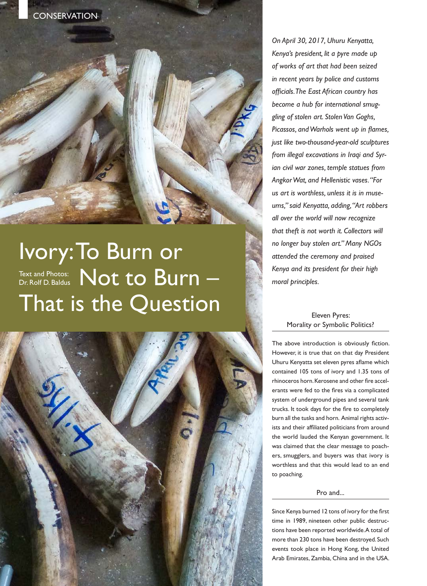

# Ivory: To Burn or Text and Photos:  $\mathsf{Not}$  to  $\mathsf{Burn}-\mathsf{D}$ That is the Question Dr. Rolf D. Baldus



*On April 30, 2017, Uhuru Kenyatta, Kenya's president, lit a pyre made up of works of art that had been seized in recent years by police and customs officials. The East African country has become a hub for international smuggling of stolen art. Stolen Van Goghs, Picassos, and Warhols went up in flames, just like two-thousand-year-old sculptures from illegal excavations in Iraqi and Syrian civil war zones, temple statues from Angkor Wat, and Hellenistic vases. "For us art is worthless, unless it is in museums," said Kenyatta, adding, "Art robbers all over the world will now recognize that theft is not worth it. Collectors will no longer buy stolen art." Many NGOs attended the ceremony and praised Kenya and its president for their high moral principles.* 

## Eleven Pyres: Morality or Symbolic Politics?

The above introduction is obviously fiction. However, it is true that on that day President Uhuru Kenyatta set eleven pyres aflame which contained 105 tons of ivory and 1.35 tons of rhinoceros horn. Kerosene and other fire accelerants were fed to the fires via a complicated system of underground pipes and several tank trucks. It took days for the fire to completely burn all the tusks and horn. Animal rights activists and their affiliated politicians from around the world lauded the Kenyan government. It was claimed that the clear message to poachers, smugglers, and buyers was that ivory is worthless and that this would lead to an end to poaching.

## Pro and...

Since Kenya burned 12 tons of ivory for the first time in 1989, nineteen other public destructions have been reported worldwide. A total of more than 230 tons have been destroyed. Such events took place in Hong Kong, the United Arab Emirates, Zambia, China and in the USA.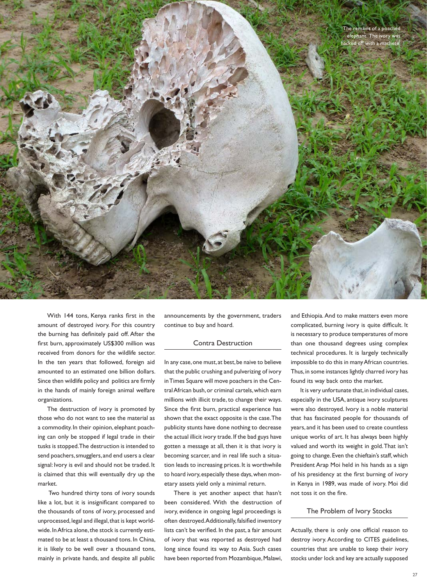

With 144 tons, Kenya ranks first in the amount of destroyed ivory. For this country the burning has definitely paid off. After the first burn, approximately US\$300 million was received from donors for the wildlife sector. In the ten years that followed, foreign aid amounted to an estimated one billion dollars. Since then wildlife policy and politics are firmly in the hands of mainly foreign animal welfare organizations.

The destruction of ivory is promoted by those who do not want to see the material as a commodity. In their opinion, elephant poaching can only be stopped if legal trade in their tusks is stopped. The destruction is intended to send poachers, smugglers, and end users a clear signal: Ivory is evil and should not be traded. It is claimed that this will eventually dry up the market.

 Two hundred thirty tons of ivory sounds like a lot, but it is insignificant compared to the thousands of tons of ivory, processed and unprocessed, legal and illegal, that is kept worldwide. In Africa alone, the stock is currently estimated to be at least a thousand tons. In China, it is likely to be well over a thousand tons, mainly in private hands, and despite all public

announcements by the government, traders continue to buy and hoard.

### Contra Destruction

In any case, one must, at best, be naive to believe that the public crushing and pulverizing of ivory in Times Square will move poachers in the Central African bush, or criminal cartels, which earn millions with illicit trade, to change their ways. Since the first burn, practical experience has shown that the exact opposite is the case. The publicity stunts have done nothing to decrease the actual illicit ivory trade. If the bad guys have gotten a message at all, then it is that ivory is becoming scarcer, and in real life such a situation leads to increasing prices. It is worthwhile to hoard ivory, especially these days, when monetary assets yield only a minimal return.

There is yet another aspect that hasn't been considered. With the destruction of ivory, evidence in ongoing legal proceedings is often destroyed. Additionally, falsified inventory lists can't be verified. In the past, a fair amount of ivory that was reported as destroyed had long since found its way to Asia. Such cases have been reported from Mozambique, Malawi,

and Ethiopia. And to make matters even more complicated, burning ivory is quite difficult. It is necessary to produce temperatures of more than one thousand degrees using complex technical procedures. It is largely technically impossible to do this in many African countries. Thus, in some instances lightly charred ivory has found its way back onto the market.

It is very unfortunate that, in individual cases, especially in the USA, antique ivory sculptures were also destroyed. Ivory is a noble material that has fascinated people for thousands of years, and it has been used to create countless unique works of art. It has always been highly valued and worth its weight in gold. That isn't going to change. Even the chieftain's staff, which President Arap Moi held in his hands as a sign of his presidency at the first burning of ivory in Kenya in 1989, was made of ivory. Moi did not toss it on the fire.

#### The Problem of Ivory Stocks

Actually, there is only one official reason to destroy ivory. According to CITES guidelines, countries that are unable to keep their ivory stocks under lock and key are actually supposed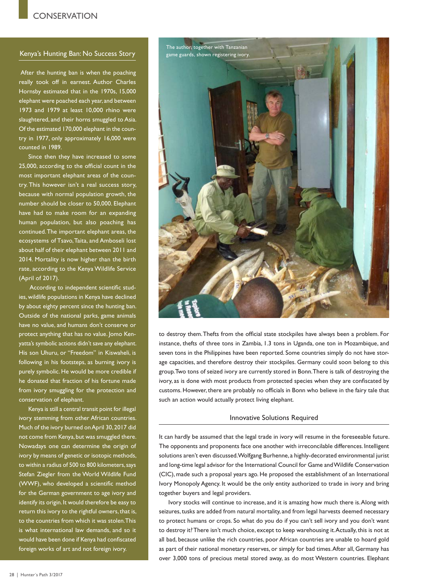## Kenya's Hunting Ban: No Success Story

 After the hunting ban is when the poaching really took off in earnest. Author Charles Hornsby estimated that in the 1970s, 15,000 elephant were poached each year, and between 1973 and 1979 at least 10,000 rhino were slaughtered, and their horns smuggled to Asia. Of the estimated 170,000 elephant in the country in 1977, only approximately 16,000 were counted in 1989.

Since then they have increased to some 25,000, according to the official count in the most important elephant areas of the country. This however isn't a real success story, because with normal population growth, the number should be closer to 50,000. Elephant have had to make room for an expanding human population, but also poaching has continued. The important elephant areas, the ecosystems of Tsavo, Taita, and Amboseli lost about half of their elephant between 2011 and 2014. Mortality is now higher than the birth rate, according to the Kenya Wildlife Service (April of 2017).

 According to independent scientific studies, wildlife populations in Kenya have declined by about eighty percent since the hunting ban. Outside of the national parks, game animals have no value, and humans don't conserve or protect anything that has no value. Jomo Kenyatta's symbolic actions didn't save any elephant. His son Uhuru, or "Freedom" in Kiswaheli, is following in his footsteps, as burning ivory is purely symbolic. He would be more credible if he donated that fraction of his fortune made from ivory smuggling for the protection and conservation of elephant.

Kenya is still a central transit point for illegal ivory stemming from other African countries. Much of the ivory burned on April 30, 2017 did not come from Kenya, but was smuggled there. Nowadays one can determine the origin of ivory by means of genetic or isotopic methods, to within a radius of 500 to 800 kilometers, says Stefan Ziegler from the World Wildlife Fund (WWF), who developed a scientific method for the German government to age ivory and identify its origin. It would therefore be easy to return this ivory to the rightful owners, that is, to the countries from which it was stolen. This is what international law demands, and so it would have been done if Kenya had confiscated foreign works of art and not foreign ivory.



to destroy them. Thefts from the official state stockpiles have always been a problem. For instance, thefts of three tons in Zambia, 1.3 tons in Uganda, one ton in Mozambique, and seven tons in the Philippines have been reported. Some countries simply do not have storage capacities, and therefore destroy their stockpiles. Germany could soon belong to this group. Two tons of seized ivory are currently stored in Bonn. There is talk of destroying the ivory, as is done with most products from protected species when they are confiscated by customs. However, there are probably no officials in Bonn who believe in the fairy tale that such an action would actually protect living elephant.

#### Innovative Solutions Required

It can hardly be assumed that the legal trade in ivory will resume in the foreseeable future. The opponents and proponents face one another with irreconcilable differences. Intelligent solutions aren't even discussed. Wolfgang Burhenne, a highly-decorated environmental jurist and long-time legal advisor for the International Council for Game and Wildlife Conservation (CIC), made such a proposal years ago. He proposed the establishment of an International Ivory Monopoly Agency. It would be the only entity authorized to trade in ivory and bring together buyers and legal providers.

Ivory stocks will continue to increase, and it is amazing how much there is. Along with seizures, tusks are added from natural mortality, and from legal harvests deemed necessary to protect humans or crops. So what do you do if you can't sell ivory and you don't want to destroy it? There isn't much choice, except to keep warehousing it. Actually, this is not at all bad, because unlike the rich countries, poor African countries are unable to hoard gold as part of their national monetary reserves, or simply for bad times. After all, Germany has over 3,000 tons of precious metal stored away, as do most Western countries. Elephant